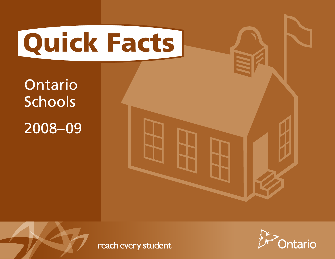

Ontario **Schools** 2008–09





reach every student

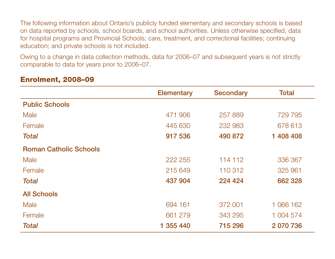The following information about Ontario's publicly funded elementary and secondary schools is based on data reported by schools, school boards, and school authorities. Unless otherwise specified, data for hospital programs and Provincial Schools; care, treatment, and correctional facilities; continuing education; and private schools is not included.

Owing to a change in data collection methods, data for 2006–07 and subsequent years is not strictly comparable to data for years prior to 2006–07.

|                               | <b>Elementary</b> | <b>Secondary</b> | <b>Total</b> |
|-------------------------------|-------------------|------------------|--------------|
| <b>Public Schools</b>         |                   |                  |              |
| <b>Male</b>                   | 471 906           | 257889           | 729 795      |
| Female                        | 445 630           | 232 983          | 678 613      |
| <b>Total</b>                  | 917 536           | 490 872          | 1 408 408    |
| <b>Roman Catholic Schools</b> |                   |                  |              |
| <b>Male</b>                   | 222 255           | 114 112          | 336 367      |
| Female                        | 215 649           | 110 312          | 325 961      |
| <b>Total</b>                  | 437 904           | 224 424          | 662 328      |
| <b>All Schools</b>            |                   |                  |              |
| Male                          | 694 161           | 372 001          | 1 066 162    |
| Female                        | 661 279           | 343 295          | 1 004 574    |
| <b>Total</b>                  | 1 355 440         | 715 296          | 2 070 736    |

#### Enrolment, 2008–09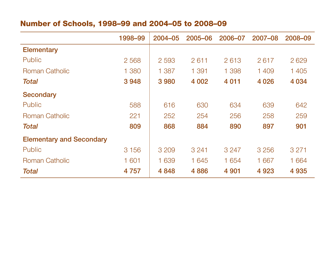# Number of Schools, 1998–99 and 2004–05 to 2008–09

|                                 | 1998-99 | $2004 - 05$ | 2005-06 | 2006-07 | 2007-08 | 2008-09 |
|---------------------------------|---------|-------------|---------|---------|---------|---------|
| <b>Elementary</b>               |         |             |         |         |         |         |
| <b>Public</b>                   | 2 5 6 8 | 2 5 9 3     | 2611    | 2613    | 2617    | 2629    |
| <b>Roman Catholic</b>           | 1 380   | 1 387       | 1 391   | 1 3 9 8 | 1409    | 1 4 0 5 |
| <b>Total</b>                    | 3948    | 3980        | 4 0 0 2 | 4 0 1 1 | 4 0 26  | 4 0 34  |
| <b>Secondary</b>                |         |             |         |         |         |         |
| <b>Public</b>                   | 588     | 616         | 630     | 634     | 639     | 642     |
| <b>Roman Catholic</b>           | 221     | 252         | 254     | 256     | 258     | 259     |
| <b>Total</b>                    | 809     | 868         | 884     | 890     | 897     | 901     |
| <b>Elementary and Secondary</b> |         |             |         |         |         |         |
| <b>Public</b>                   | 3 1 5 6 | 3 2 0 9     | 3 2 4 1 | 3 2 4 7 | 3 2 5 6 | 3 2 7 1 |
| <b>Roman Catholic</b>           | 1 601   | 1 639       | 1 645   | 1 6 5 4 | 1 667   | 1 6 6 4 |
| <b>Total</b>                    | 4757    | 4 8 4 8     | 4886    | 4 9 0 1 | 4 9 23  | 4 9 3 5 |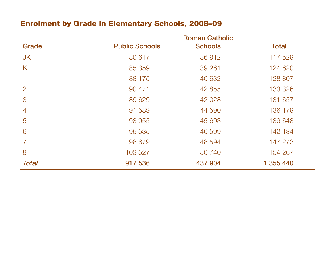## Enrolment by Grade in Elementary Schools, 2008–09

|                |                       | <b>Roman Catholic</b> |              |
|----------------|-----------------------|-----------------------|--------------|
| Grade          | <b>Public Schools</b> | <b>Schools</b>        | <b>Total</b> |
| JK             | 80 617                | 36 912                | 117 529      |
| K              | 85 359                | 39 261                | 124 620      |
|                | 88 175                | 40 632                | 128 807      |
| $\overline{2}$ | 90 471                | 42 855                | 133 326      |
| 3              | 89 629                | 42 0 28               | 131 657      |
| $\overline{4}$ | 91 589                | 44 590                | 136 179      |
| 5              | 93 955                | 45 693                | 139 648      |
| 6              | 95 535                | 46 599                | 142 134      |
|                | 98 679                | 48 594                | 147 273      |
| 8              | 103 527               | 50 740                | 154 267      |
| <b>Total</b>   | 917 536               | 437 904               | 1 355 440    |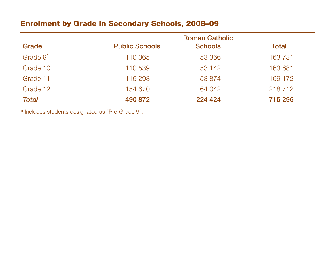## Enrolment by Grade in Secondary Schools, 2008–09

|                      |                       | <b>Roman Catholic</b> |         |
|----------------------|-----------------------|-----------------------|---------|
| Grade                | <b>Public Schools</b> | <b>Schools</b>        | Total   |
| Grade 9 <sup>*</sup> | 110 365               | 53 366                | 163 731 |
| Grade 10             | 110 539               | 53 142                | 163 681 |
| Grade 11             | 115 298               | 53 874                | 169 172 |
| Grade 12             | 154 670               | 64 042                | 218 712 |
| <b>Total</b>         | 490 872               | 224 424               | 715 296 |

\* Includes students designated as "Pre-Grade 9".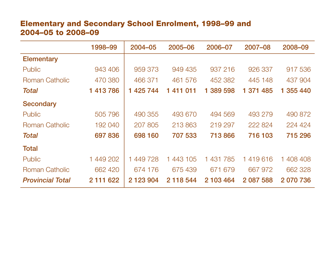## Elementary and Secondary School Enrolment, 1998–99 and 2004–05 to 2008–09

|                         | 1998-99   | $2004 - 05$   | 2005-06      | 2006-07                         | 2007-08   | 2008-09   |
|-------------------------|-----------|---------------|--------------|---------------------------------|-----------|-----------|
| <b>Elementary</b>       |           |               |              |                                 |           |           |
| <b>Public</b>           | 943 406   | 959 373       | 949 435      | 937 216                         | 926 337   | 917 536   |
| <b>Roman Catholic</b>   | 470 380   | 466 371       | 461 576      | 452 382                         | 445 148   | 437 904   |
| <b>Total</b>            | 1 413 786 | 1 425 744     | 411 011<br>1 | 389 598<br>1.                   | 1 371 485 | 1 355 440 |
| <b>Secondary</b>        |           |               |              |                                 |           |           |
| Public                  | 505 796   | 490 355       | 493 670      | 494 569                         | 493 279   | 490 872   |
| <b>Roman Catholic</b>   | 192 040   | 207 805       | 213 863      | 219 297                         | 222 824   | 224 424   |
| <b>Total</b>            | 697 836   | 698 160       | 707 533      | 713866                          | 716 103   | 715 296   |
| <b>Total</b>            |           |               |              |                                 |           |           |
| <b>Public</b>           | 1 449 202 | 1 449 728     | 443 105<br>1 | 431 785<br>$\blacktriangleleft$ | 1419616   | 1 408 408 |
| <b>Roman Catholic</b>   | 662 420   | 674 176       | 675 439      | 671 679                         | 667 972   | 662 328   |
| <b>Provincial Total</b> | 2 111 622 | 2 1 2 3 9 0 4 | 2 118 544    | 2 103 464                       | 2 087 588 | 2 070 736 |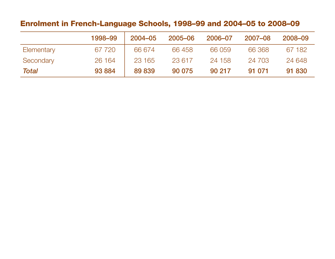## Enrolment in French-Language Schools, 1998–99 and 2004–05 to 2008–09

|            | 1998-99 | $2004 - 05$ | 2005-06 | 2006-07 | 2007-08 | 2008-09 |
|------------|---------|-------------|---------|---------|---------|---------|
| Elementary | 67 720  | 66 674      | 66458   | 66 059  | 66 368  | 67 182  |
| Secondary  | 26 164  | 23 165      | 23 617  | 24 158  | 24 703  | 24 648  |
| Total      | 93 884  | 89 839      | 90 075  | 90 217  | 91 071  | 91 830  |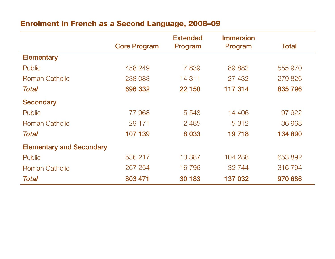## Enrolment in French as a Second Language, 2008–09

|                                 |                     | <b>Extended</b> | <b>Immersion</b> |              |
|---------------------------------|---------------------|-----------------|------------------|--------------|
|                                 | <b>Core Program</b> | Program         | Program          | <b>Total</b> |
| <b>Elementary</b>               |                     |                 |                  |              |
| <b>Public</b>                   | 458 249             | 7839            | 89 882           | 555 970      |
| <b>Roman Catholic</b>           | 238 083             | 14 311          | 27 432           | 279826       |
| <b>Total</b>                    | 696 332             | 22 150          | 117 314          | 835 796      |
| <b>Secondary</b>                |                     |                 |                  |              |
| <b>Public</b>                   | 77968               | 5 5 4 8         | 14 406           | 97 922       |
| <b>Roman Catholic</b>           | 29 171              | 2 4 8 5         | 5 3 1 2          | 36 968       |
| <b>Total</b>                    | 107 139             | 8 0 3 3         | 19718            | 134 890      |
| <b>Elementary and Secondary</b> |                     |                 |                  |              |
| <b>Public</b>                   | 536 217             | 13 3 8 7        | 104 288          | 653 892      |
| <b>Roman Catholic</b>           | 267 254             | 16 796          | 32 744           | 316 794      |
| <b>Total</b>                    | 803 471             | 30 183          | 137 032          | 970 686      |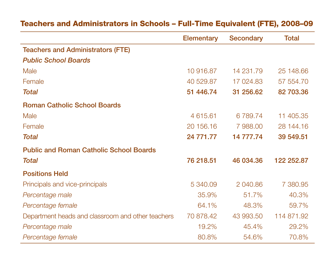|                                                   | <b>Elementary</b> | <b>Secondary</b> | <b>Total</b> |
|---------------------------------------------------|-------------------|------------------|--------------|
| <b>Teachers and Administrators (FTE)</b>          |                   |                  |              |
| <b>Public School Boards</b>                       |                   |                  |              |
| Male                                              | 10 916.87         | 14 231.79        | 25 148.66    |
| Female                                            | 40 529.87         | 17 024.83        | 57 554.70    |
| <b>Total</b>                                      | 51 446.74         | 31 256.62        | 82 703.36    |
| <b>Roman Catholic School Boards</b>               |                   |                  |              |
| <b>Male</b>                                       | 4 615.61          | 6789.74          | 11 405.35    |
| Female                                            | 20 156.16         | 7 988.00         | 28 144.16    |
| <b>Total</b>                                      | 24 771.77         | 14 777.74        | 39 549.51    |
| <b>Public and Roman Catholic School Boards</b>    |                   |                  |              |
| <b>Total</b>                                      | 76 218.51         | 46 034.36        | 122 252.87   |
| <b>Positions Held</b>                             |                   |                  |              |
| Principals and vice-principals                    | 5 340.09          | 2 040.86         | 7 380.95     |
| Percentage male                                   | 35.9%             | 51.7%            | 40.3%        |
| Percentage female                                 | 64.1%             | 48.3%            | 59.7%        |
| Department heads and classroom and other teachers | 70 878.42         | 43 993.50        | 114 871.92   |
| Percentage male                                   | 19.2%             | 45.4%            | 29.2%        |
| Percentage female                                 | 80.8%             | 54.6%            | 70.8%        |

# Teachers and Administrators in Schools – Full-Time Equivalent (FTE), 2008–09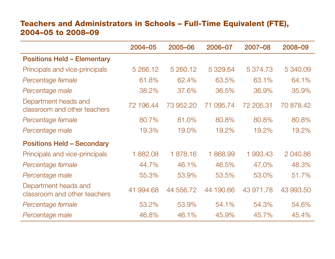## Teachers and Administrators in Schools – Full-Time Equivalent (FTE), 2004–05 to 2008–09

|                                                      | $2004 - 05$ | 2005-06   | 2006-07   | 2007-08   | 2008-09   |
|------------------------------------------------------|-------------|-----------|-----------|-----------|-----------|
| <b>Positions Held - Elementary</b>                   |             |           |           |           |           |
| Principals and vice-principals                       | 5 266.12    | 5 260.12  | 5 329.64  | 5 374.73  | 5 340.09  |
| Percentage female                                    | 61.8%       | 62.4%     | 63.5%     | 63.1%     | 64.1%     |
| Percentage male                                      | 38.2%       | 37.6%     | 36.5%     | 36.9%     | 35.9%     |
| Department heads and<br>classroom and other teachers | 72 196.44   | 73 952.20 | 71 095.74 | 72 205.31 | 70 878.42 |
| Percentage female                                    | 80.7%       | 81.0%     | 80.8%     | 80.8%     | 80.8%     |
| Percentage male                                      | 19.3%       | 19.0%     | 19.2%     | 19.2%     | 19.2%     |
| <b>Positions Held - Secondary</b>                    |             |           |           |           |           |
| Principals and vice-principals                       | 1882.08     | 1878.16   | 1868.99   | 1 993.43  | 2 040.86  |
| Percentage female                                    | 44.7%       | 46.1%     | 46.5%     | 47.0%     | 48.3%     |
| Percentage male                                      | 55.3%       | 53.9%     | 53.5%     | 53.0%     | 51.7%     |
| Department heads and<br>classroom and other teachers | 41 994.68   | 44 556.72 | 44 190.66 | 43 971.78 | 43 993.50 |
| Percentage female                                    | 53.2%       | 53.9%     | 54.1%     | 54.3%     | 54.6%     |
| Percentage male                                      | 46.8%       | 46.1%     | 45.9%     | 45.7%     | 45.4%     |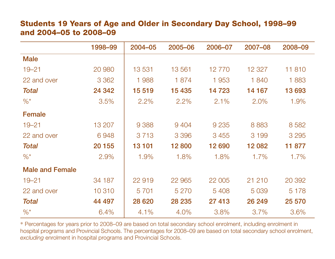#### Students 19 Years of Age and Older in Secondary Day School, 1998–99 and 2004–05 to 2008–09

|                        | 1998-99 | 2004-05 | 2005-06 | 2006-07 | 2007-08 | 2008-09 |
|------------------------|---------|---------|---------|---------|---------|---------|
| <b>Male</b>            |         |         |         |         |         |         |
| $19 - 21$              | 20 980  | 13531   | 13 5 61 | 12 770  | 12 3 27 | 11810   |
| 22 and over            | 3 3 6 2 | 1988    | 1874    | 1 9 5 3 | 1840    | 1883    |
| <b>Total</b>           | 24 342  | 15 519  | 15 4 35 | 14 723  | 14 167  | 13693   |
| $\%^*$                 | 3.5%    | 2.2%    | 2.2%    | 2.1%    | 2.0%    | 1.9%    |
| <b>Female</b>          |         |         |         |         |         |         |
| $19 - 21$              | 13 207  | 9 3 8 8 | 9 4 0 4 | 9 2 3 5 | 8883    | 8 5 8 2 |
| 22 and over            | 6948    | 3 7 1 3 | 3 3 9 6 | 3 4 5 5 | 3 1 9 9 | 3 2 9 5 |
| <b>Total</b>           | 20 155  | 13 101  | 12800   | 12 690  | 12 082  | 11 877  |
| $\%^*$                 | 2.9%    | 1.9%    | 1.8%    | 1.8%    | 1.7%    | 1.7%    |
| <b>Male and Female</b> |         |         |         |         |         |         |
| $19 - 21$              | 34 187  | 22 919  | 22 965  | 22 005  | 21 210  | 20 392  |
| 22 and over            | 10 310  | 5 7 0 1 | 5 2 7 0 | 5 4 0 8 | 5 0 3 9 | 5 1 7 8 |
| <b>Total</b>           | 44 497  | 28 6 20 | 28 235  | 27 413  | 26 249  | 25 570  |
| $\frac{9}{6}$ *        | 6.4%    | 4.1%    | 4.0%    | 3.8%    | 3.7%    | 3.6%    |

\* Percentages for years prior to 2008–09 are based on total secondary school enrolment, including enrolment in hospital programs and Provincial Schools. The percentages for 2008–09 are based on total secondary school enrolment, *excluding* enrolment in hospital programs and Provincial Schools.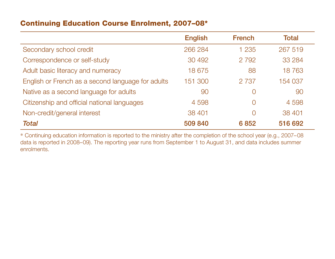#### Continuing Education Course Enrolment, 2007–08\*

|                                                   | <b>English</b> | <b>French</b> | <b>Total</b> |
|---------------------------------------------------|----------------|---------------|--------------|
| Secondary school credit                           | 266 284        | 1 2 3 5       | 267 519      |
| Correspondence or self-study                      | 30 492         | 2 7 9 2       | 33 2 84      |
| Adult basic literacy and numeracy                 | 18 675         | 88            | 18763        |
| English or French as a second language for adults | 151 300        | 2 7 3 7       | 154 037      |
| Native as a second language for adults            | 90             | 0             | 90           |
| Citizenship and official national languages       | 4 5 9 8        | $\bigcap$     | 4 5 9 8      |
| Non-credit/general interest                       | 38 401         |               | 38 401       |
| <b>Total</b>                                      | 509 840        | 6852          | 516 692      |

\* Continuing education information is reported to the ministry after the completion of the school year (e.g., 2007–08 data is reported in 2008–09). The reporting year runs from September 1 to August 31, and data includes summer enrolments.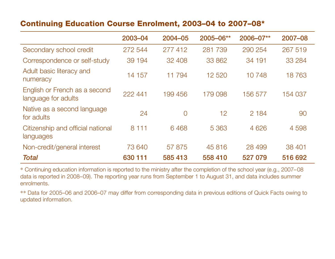#### Continuing Education Course Enrolment, 2003–04 to 2007–08\*

|                                                      | 2003-04 | 2004-05        | 2005-06** | 2006-07** | 2007-08 |
|------------------------------------------------------|---------|----------------|-----------|-----------|---------|
| Secondary school credit                              | 272 544 | 277 412        | 281 739   | 290 254   | 267 519 |
| Correspondence or self-study                         | 39 194  | 32 408         | 33 862    | 34 191    | 33 2 84 |
| Adult basic literacy and<br>numeracy                 | 14 157  | 11794          | 12 5 20   | 10 748    | 18763   |
| English or French as a second<br>language for adults | 222 441 | 199 456        | 179 098   | 156 577   | 154 037 |
| Native as a second language<br>for adults            | 24      | $\overline{0}$ | 12        | 2 1 8 4   | 90      |
| Citizenship and official national<br>languages       | 8 1 1 1 | 6468           | 5 3 6 3   | 4 6 2 6   | 4 5 9 8 |
| Non-credit/general interest                          | 73 640  | 57 875         | 45 816    | 28 499    | 38 401  |
| <b>Total</b>                                         | 630 111 | 585 413        | 558 410   | 527 079   | 516 692 |

\* Continuing education information is reported to the ministry after the completion of the school year (e.g., 2007–08 data is reported in 2008–09). The reporting year runs from September 1 to August 31, and data includes summer enrolments.

\*\* Data for 2005–06 and 2006–07 may differ from corresponding data in previous editions of Quick Facts owing to updated information.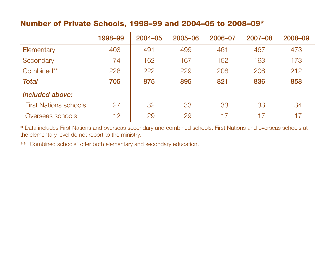#### Number of Private Schools, 1998–99 and 2004–05 to 2008–09\*

|                              | 1998-99 | $2004 - 05$ | 2005-06 | 2006-07 | 2007-08 | 2008-09 |
|------------------------------|---------|-------------|---------|---------|---------|---------|
| Elementary                   | 403     | 491         | 499     | 461     | 467     | 473     |
| Secondary                    | 74      | 162         | 167     | 152     | 163     | 173     |
| Combined**                   | 228     | 222         | 229     | 208     | 206     | 212     |
| <b>Total</b>                 | 705     | 875         | 895     | 821     | 836     | 858     |
| Included above:              |         |             |         |         |         |         |
| <b>First Nations schools</b> | 27      | 32          | 33      | 33      | 33      | 34      |
| Overseas schools             | 12      | 29          | 29      | 17      | 17      | 17      |

\* Data includes First Nations and overseas secondary and combined schools. First Nations and overseas schools at the elementary level do not report to the ministry.

\*\* "Combined schools" offer both elementary and secondary education.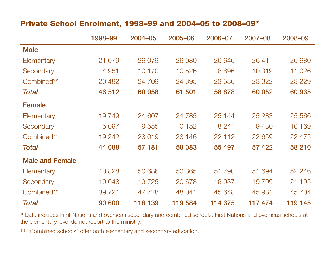#### Private School Enrolment, 1998–99 and 2004–05 to 2008–09\*

|                        | 1998-99 | $2004 - 05$ | 2005-06  | 2006-07 | 2007-08 | 2008-09 |
|------------------------|---------|-------------|----------|---------|---------|---------|
| <b>Male</b>            |         |             |          |         |         |         |
| Elementary             | 21 079  | 26 079      | 26 080   | 26 646  | 26 411  | 26 680  |
| Secondary              | 4 9 5 1 | 10 170      | 10526    | 8 6 9 6 | 10 319  | 11 0 26 |
| Combined**             | 20 4 82 | 24 709      | 24 895   | 23 536  | 23 3 22 | 23 229  |
| Total                  | 46 512  | 60 958      | 61 501   | 58 878  | 60 052  | 60 935  |
| <b>Female</b>          |         |             |          |         |         |         |
| Elementary             | 19749   | 24 607      | 24 7 8 5 | 25 144  | 25 283  | 25 566  |
| Secondary              | 5 0 9 7 | 9 5 5 5     | 10 152   | 8 2 4 1 | 9480    | 10 169  |
| Combined**             | 19 24 2 | 23 019      | 23 146   | 22 112  | 22 659  | 22 475  |
| Total                  | 44 088  | 57 181      | 58 083   | 55 497  | 57 422  | 58 210  |
| <b>Male and Female</b> |         |             |          |         |         |         |
| Elementary             | 40 828  | 50 686      | 50 865   | 51 790  | 51 694  | 52 246  |
| Secondary              | 10 048  | 19725       | 20 678   | 16 937  | 19799   | 21 195  |
| Combined**             | 39 7 24 | 47 728      | 48 041   | 45 648  | 45 981  | 45 704  |
| <b>Total</b>           | 90 600  | 118 139     | 119 584  | 114 375 | 117474  | 119 145 |

\* Data includes First Nations and overseas secondary and combined schools. First Nations and overseas schools at the elementary level do not report to the ministry.

\*\* "Combined schools" offer both elementary and secondary education.